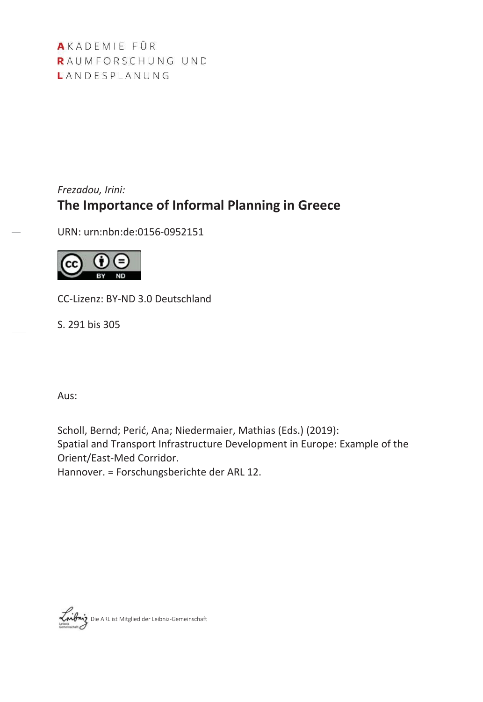AKADEMIE FÜR RAUMFORSCHUNG UND LANDESPLANUNG

# *Frezadou, Irini:* **The Importance of Informal Planning in Greece**

URN: urn:nbn:de:0156-0952151



CC-Lizenz: BY-ND 3.0 Deutschland

S. 291 bis 305

Aus:

Scholl, Bernd; Perić, Ana; Niedermaier, Mathias (Eds.) (2019): Spatial and Transport Infrastructure Development in Europe: Example of the Orient/East-Med Corridor. Hannover. = Forschungsberichte der ARL 12.

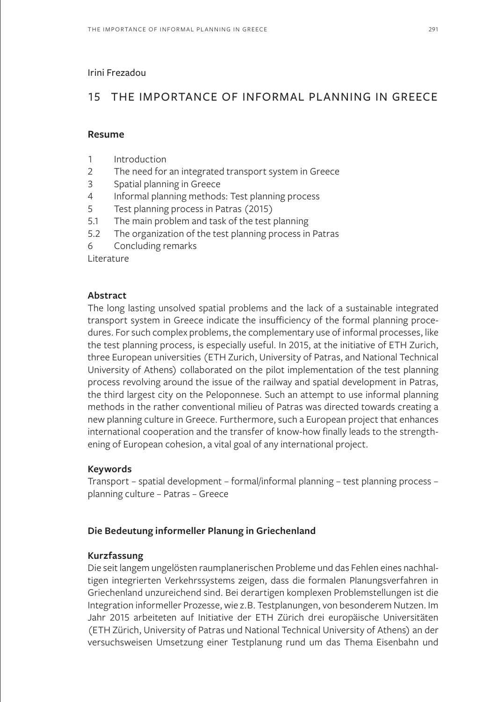#### Irini Frezadou

# 15 THE IMPORTANCE OF INFORMAL PLANNING IN GREECE

#### **Resume**

- 1 Introduction
- 2 The need for an integrated transport system in Greece
- 3 Spatial planning in Greece
- 4 Informal planning methods: Test planning process
- 5 Test planning process in Patras (2015)
- 5.1 The main problem and task of the test planning
- 5.2 The organization of the test planning process in Patras
- 6 Concluding remarks

Literature

## **Abstract**

The long lasting unsolved spatial problems and the lack of a sustainable integrated transport system in Greece indicate the insufficiency of the formal planning procedures. For such complex problems, the complementary use of informal processes, like the test planning process, is especially useful. In 2015, at the initiative of ETH Zurich, three European universities (ETH Zurich, University of Patras, and National Technical University of Athens) collaborated on the pilot implementation of the test planning process revolving around the issue of the railway and spatial development in Patras, the third largest city on the Peloponnese. Such an attempt to use informal planning methods in the rather conventional milieu of Patras was directed towards creating a new planning culture in Greece. Furthermore, such a European project that enhances international cooperation and the transfer of know-how finally leads to the strengthening of European cohesion, a vital goal of any international project.

## **Keywords**

Transport – spatial development – formal/informal planning – test planning process – planning culture – Patras – Greece

## **Die Bedeutung informeller Planung in Griechenland**

## **Kurzfassung**

Die seit langem ungelösten raumplanerischen Probleme und das Fehlen eines nachhaltigen integrierten Verkehrssystems zeigen, dass die formalen Planungsverfahren in Griechenland unzureichend sind. Bei derartigen komplexen Problemstellungen ist die Integration informeller Prozesse, wie z.B. Testplanungen, von besonderem Nutzen. Im Jahr 2015 arbeiteten auf Initiative der ETH Zürich drei europäische Universitäten (ETH Zürich, University of Patras und National Technical University of Athens) an der versuchsweisen Umsetzung einer Testplanung rund um das Thema Eisenbahn und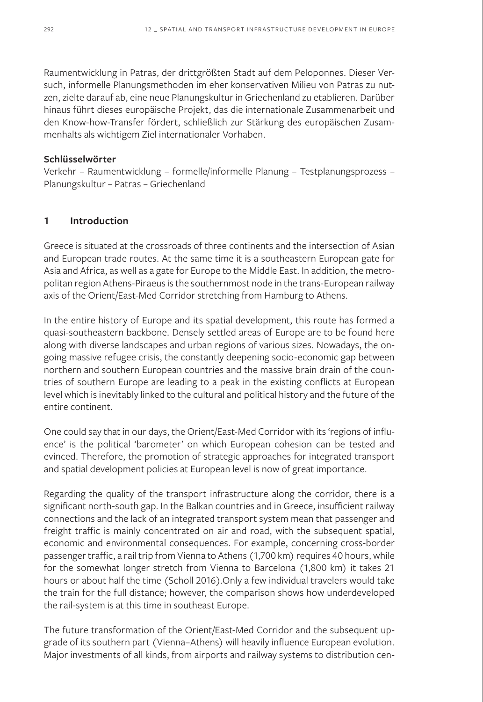Raumentwicklung in Patras, der drittgrößten Stadt auf dem Peloponnes. Dieser Versuch, informelle Planungsmethoden im eher konservativen Milieu von Patras zu nutzen, zielte darauf ab, eine neue Planungskultur in Griechenland zu etablieren. Darüber hinaus führt dieses europäische Projekt, das die internationale Zusammenarbeit und den Know-how-Transfer fördert, schließlich zur Stärkung des europäischen Zusammenhalts als wichtigem Ziel internationaler Vorhaben.

#### **Schlüsselwörter**

Verkehr – Raumentwicklung – formelle/informelle Planung – Testplanungsprozess – Planungskultur – Patras – Griechenland

# **1 Introduction**

Greece is situated at the crossroads of three continents and the intersection of Asian and European trade routes. At the same time it is a southeastern European gate for Asia and Africa, as well as a gate for Europe to the Middle East. In addition, the metropolitan region Athens-Piraeus is the southernmost node in the trans-European railway axis of the Orient/East-Med Corridor stretching from Hamburg to Athens.

In the entire history of Europe and its spatial development, this route has formed a quasi-southeastern backbone. Densely settled areas of Europe are to be found here along with diverse landscapes and urban regions of various sizes. Nowadays, the ongoing massive refugee crisis, the constantly deepening socio-economic gap between northern and southern European countries and the massive brain drain of the countries of southern Europe are leading to a peak in the existing conflicts at European level which is inevitably linked to the cultural and political history and the future of the entire continent.

One could say that in our days, the Orient/East-Med Corridor with its 'regions of influence' is the political 'barometer' on which European cohesion can be tested and evinced. Therefore, the promotion of strategic approaches for integrated transport and spatial development policies at European level is now of great importance.

Regarding the quality of the transport infrastructure along the corridor, there is a significant north-south gap. In the Balkan countries and in Greece, insufficient railway connections and the lack of an integrated transport system mean that passenger and freight traffic is mainly concentrated on air and road, with the subsequent spatial, economic and environmental consequences. For example, concerning cross-border passenger traffic, a rail trip from Vienna to Athens (1,700 km) requires 40 hours, while for the somewhat longer stretch from Vienna to Barcelona (1,800 km) it takes 21 hours or about half the time (Scholl 2016).Only a few individual travelers would take the train for the full distance; however, the comparison shows how underdeveloped the rail-system is at this time in southeast Europe.

The future transformation of the Orient/East-Med Corridor and the subsequent upgrade of its southern part (Vienna–Athens) will heavily influence European evolution. Major investments of all kinds, from airports and railway systems to distribution cen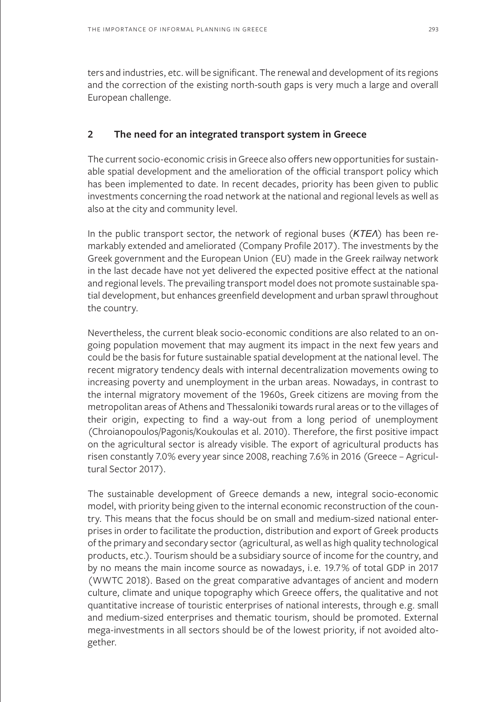ters and industries, etc. will be significant. The renewal and development of its regions and the correction of the existing north-south gaps is very much a large and overall European challenge.

# **2 The need for an integrated transport system in Greece**

The current socio-economic crisis in Greece also offers new opportunities for sustainable spatial development and the amelioration of the official transport policy which has been implemented to date. In recent decades, priority has been given to public investments concerning the road network at the national and regional levels as well as also at the city and community level.

In the public transport sector, the network of regional buses (KTEA) has been remarkably extended and ameliorated (Company Profile 2017). The investments by the Greek government and the European Union (EU) made in the Greek railway network in the last decade have not yet delivered the expected positive effect at the national and regional levels. The prevailing transport model does not promote sustainable spatial development, but enhances greenfield development and urban sprawl throughout the country.

Nevertheless, the current bleak socio-economic conditions are also related to an ongoing population movement that may augment its impact in the next few years and could be the basis for future sustainable spatial development at the national level. The recent migratory tendency deals with internal decentralization movements owing to increasing poverty and unemployment in the urban areas. Nowadays, in contrast to the internal migratory movement of the 1960s, Greek citizens are moving from the metropolitan areas of Athens and Thessaloniki towards rural areas or to the villages of their origin, expecting to find a way-out from a long period of unemployment (Chroianopoulos/Pagonis/Koukoulas et al. 2010). Therefore, the first positive impact on the agricultural sector is already visible. The export of agricultural products has risen constantly 7.0% every year since 2008, reaching 7.6% in 2016 (Greece – Agricultural Sector 2017).

The sustainable development of Greece demands a new, integral socio-economic model, with priority being given to the internal economic reconstruction of the country. This means that the focus should be on small and medium-sized national enterprises in order to facilitate the production, distribution and export of Greek products of the primary and secondary sector (agricultural, as well as high quality technological products, etc.). Tourism should be a subsidiary source of income for the country, and by no means the main income source as nowadays, i.e. 19.7% of total GDP in 2017 (WWTC 2018). Based on the great comparative advantages of ancient and modern culture, climate and unique topography which Greece offers, the qualitative and not quantitative increase of touristic enterprises of national interests, through e.g. small and medium-sized enterprises and thematic tourism, should be promoted. External mega-investments in all sectors should be of the lowest priority, if not avoided altogether.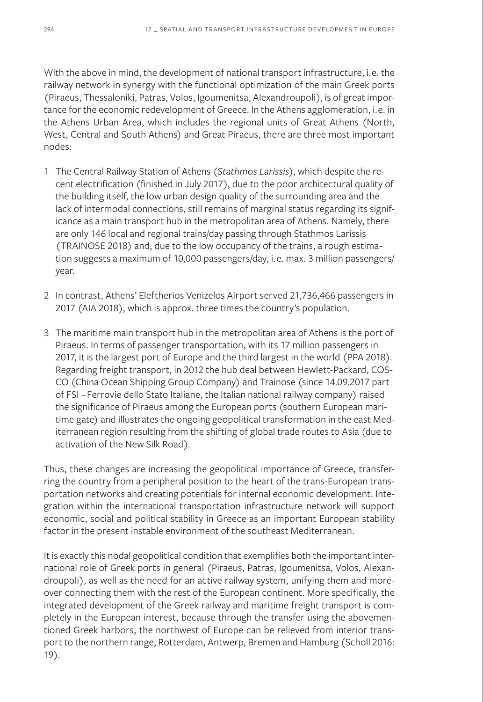With the above in mind, the development of national transport infrastructure, i.e. the railway network in synergy with the functional optimization of the main Greek ports (Piraeus, Thessaloniki, Patras, Volos, Igoumenitsa, Alexandroupoli), is of great importance for the economic redevelopment of Greece. In the Athens agglomeration, i.e. in the Athens Urban Area, which includes the regional units of Great Athens (North, West, Central and South Athens) and Great Piraeus, there are three most important nodes:

- 1 The Central Railway Station of Athens (*Stathmos Larissis*), which despite the recent electrification (finished in July 2017), due to the poor architectural quality of the building itself, the low urban design quality of the surrounding area and the lack of intermodal connections, still remains of marginal status regarding its significance as a main transport hub in the metropolitan area of Athens. Namely, there are only 146 local and regional trains/day passing through Stathmos Larissis (TRAINOSE 2018) and, due to the low occupancy of the trains, a rough estimation suggests a maximum of 10,000 passengers/day, i.e. max. 3 million passengers/ year.
- 2 In contrast, Athens' Eleftherios Venizelos Airport served 21,736,466 passengers in 2017 (AIA 2018), which is approx. three times the country's population.
- 3 The maritime main transport hub in the metropolitan area of Athens is the port of Piraeus. In terms of passenger transportation, with its 17 million passengers in 2017, it is the largest port of Europe and the third largest in the world (PPA 2018). Regarding freight transport, in 2012 the hub deal between Hewlett-Packard, COS-CO (China Ocean Shipping Group Company) and Trainose (since 14.09.2017 part of FSI – Ferrovie dello Stato Italiane, the Italian national railway company) raised the significance of Piraeus among the European ports (southern European maritime gate) and illustrates the ongoing geopolitical transformation in the east Mediterranean region resulting from the shifting of global trade routes to Asia (due to activation of the New Silk Road).

Thus, these changes are increasing the geopolitical importance of Greece, transferring the country from a peripheral position to the heart of the trans-European transportation networks and creating potentials for internal economic development. Integration within the international transportation infrastructure network will support economic, social and political stability in Greece as an important European stability factor in the present instable environment of the southeast Mediterranean.

It is exactly this nodal geopolitical condition that exemplifies both the important international role of Greek ports in general (Piraeus, Patras, Igoumenitsa, Volos, Alexandroupoli), as well as the need for an active railway system, unifying them and moreover connecting them with the rest of the European continent. More specifically, the integrated development of the Greek railway and maritime freight transport is completely in the European interest, because through the transfer using the abovementioned Greek harbors, the northwest of Europe can be relieved from interior transport to the northern range, Rotterdam, Antwerp, Bremen and Hamburg (Scholl 2016: 19).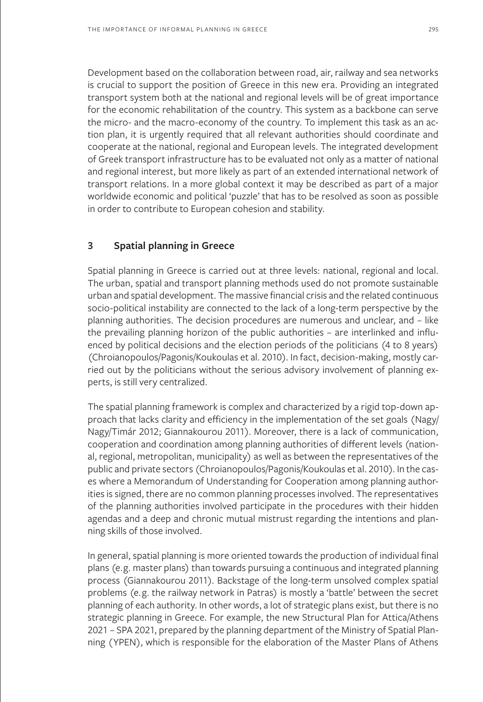Development based on the collaboration between road, air, railway and sea networks is crucial to support the position of Greece in this new era. Providing an integrated transport system both at the national and regional levels will be of great importance for the economic rehabilitation of the country. This system as a backbone can serve the micro- and the macro-economy of the country. To implement this task as an action plan, it is urgently required that all relevant authorities should coordinate and cooperate at the national, regional and European levels. The integrated development of Greek transport infrastructure has to be evaluated not only as a matter of national and regional interest, but more likely as part of an extended international network of transport relations. In a more global context it may be described as part of a major worldwide economic and political 'puzzle' that has to be resolved as soon as possible in order to contribute to European cohesion and stability.

## **3 Spatial planning in Greece**

Spatial planning in Greece is carried out at three levels: national, regional and local. The urban, spatial and transport planning methods used do not promote sustainable urban and spatial development. The massive financial crisis and the related continuous socio-political instability are connected to the lack of a long-term perspective by the planning authorities. The decision procedures are numerous and unclear, and – like the prevailing planning horizon of the public authorities – are interlinked and influenced by political decisions and the election periods of the politicians (4 to 8 years) (Chroianopoulos/Pagonis/Koukoulas et al. 2010). In fact, decision-making, mostly carried out by the politicians without the serious advisory involvement of planning experts, is still very centralized.

The spatial planning framework is complex and characterized by a rigid top-down approach that lacks clarity and efficiency in the implementation of the set goals (Nagy/ Nagy/Timár 2012; Giannakourou 2011). Moreover, there is a lack of communication, cooperation and coordination among planning authorities of different levels (national, regional, metropolitan, municipality) as well as between the representatives of the public and private sectors (Chroianopoulos/Pagonis/Koukoulas et al. 2010). In the cases where a Memorandum of Understanding for Cooperation among planning authorities is signed, there are no common planning processes involved. The representatives of the planning authorities involved participate in the procedures with their hidden agendas and a deep and chronic mutual mistrust regarding the intentions and planning skills of those involved.

In general, spatial planning is more oriented towards the production of individual final plans (e.g. master plans) than towards pursuing a continuous and integrated planning process (Giannakourou 2011). Backstage of the long-term unsolved complex spatial problems (e.g. the railway network in Patras) is mostly a 'battle' between the secret planning of each authority. In other words, a lot of strategic plans exist, but there is no strategic planning in Greece. For example, the new Structural Plan for Attica/Athens 2021 – SPA 2021, prepared by the planning department of the Ministry of Spatial Planning (YPEN), which is responsible for the elaboration of the Master Plans of Athens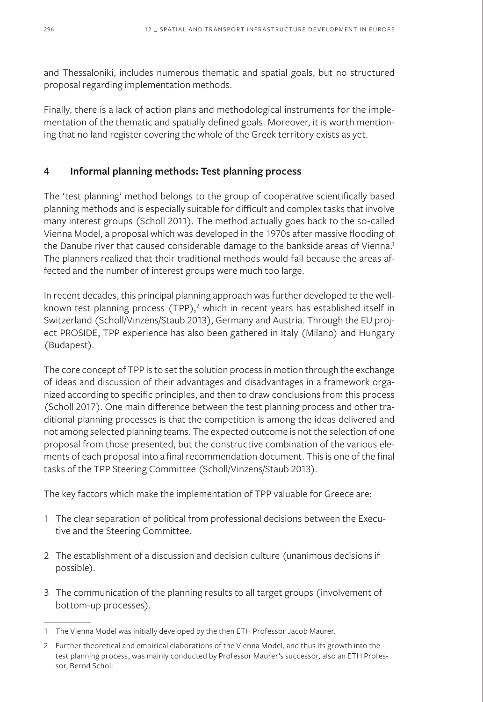and Thessaloniki, includes numerous thematic and spatial goals, but no structured proposal regarding implementation methods.

Finally, there is a lack of action plans and methodological instruments for the implementation of the thematic and spatially defined goals. Moreover, it is worth mentioning that no land register covering the whole of the Greek territory exists as yet.

# **4 Informal planning methods: Test planning process**

The 'test planning' method belongs to the group of cooperative scientifically based planning methods and is especially suitable for difficult and complex tasks that involve many interest groups (Scholl 2011). The method actually goes back to the so-called Vienna Model, a proposal which was developed in the 1970s after massive flooding of the Danube river that caused considerable damage to the bankside areas of Vienna.<sup>1</sup> The planners realized that their traditional methods would fail because the areas affected and the number of interest groups were much too large.

In recent decades, this principal planning approach was further developed to the wellknown test planning process (TPP),<sup>2</sup> which in recent years has established itself in Switzerland (Scholl/Vinzens/Staub 2013), Germany and Austria. Through the EU project PROSIDE, TPP experience has also been gathered in Italy (Milano) and Hungary (Budapest).

The core concept of TPP is to set the solution process in motion through the exchange of ideas and discussion of their advantages and disadvantages in a framework organized according to specific principles, and then to draw conclusions from this process (Scholl 2017). One main difference between the test planning process and other traditional planning processes is that the competition is among the ideas delivered and not among selected planning teams. The expected outcome is not the selection of one proposal from those presented, but the constructive combination of the various elements of each proposal into a final recommendation document. This is one of the final tasks of the TPP Steering Committee (Scholl/Vinzens/Staub 2013).

The key factors which make the implementation of TPP valuable for Greece are:

- 1 The clear separation of political from professional decisions between the Executive and the Steering Committee.
- 2 The establishment of a discussion and decision culture (unanimous decisions if possible).
- 3 The communication of the planning results to all target groups (involvement of bottom-up processes).

<sup>1</sup> The Vienna Model was initially developed by the then ETH Professor Jacob Maurer.

<sup>2</sup> Further theoretical and empirical elaborations of the Vienna Model, and thus its growth into the test planning process, was mainly conducted by Professor Maurer's successor, also an ETH Professor, Bernd Scholl.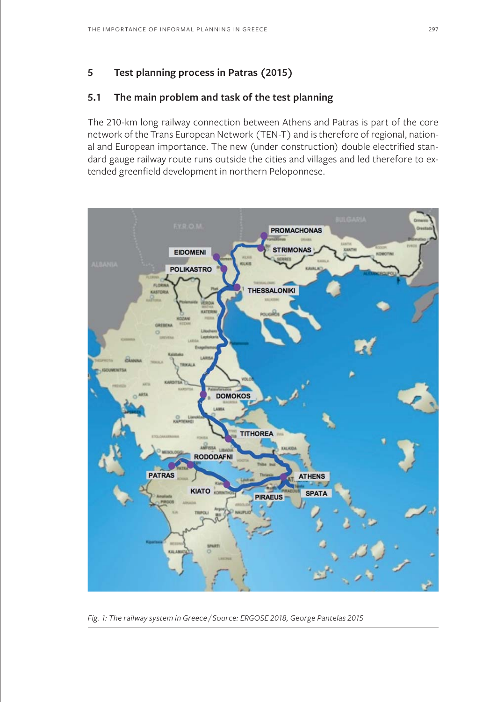# **5 Test planning process in Patras (2015)**

# **5.1 The main problem and task of the test planning**

The 210-km long railway connection between Athens and Patras is part of the core network of the Trans European Network (TEN-T) and is therefore of regional, national and European importance. The new (under construction) double electrified standard gauge railway route runs outside the cities and villages and led therefore to extended greenfield development in northern Peloponnese.



*Fig. 1: The railway system in Greece / Source: ERGOSE 2018, George Pantelas 2015*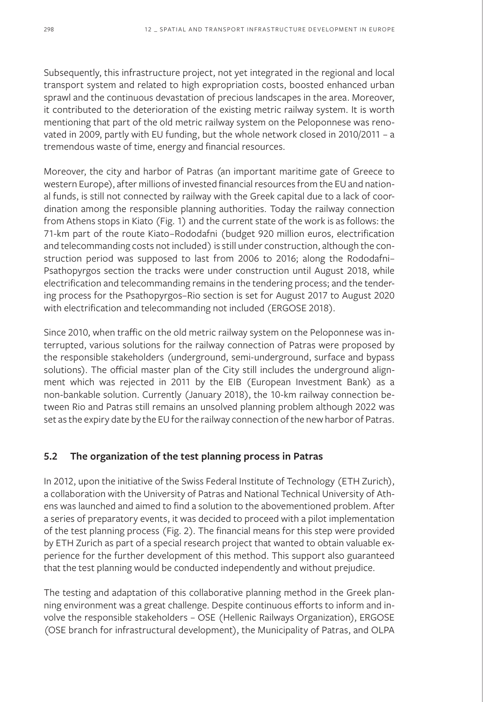Subsequently, this infrastructure project, not yet integrated in the regional and local transport system and related to high expropriation costs, boosted enhanced urban sprawl and the continuous devastation of precious landscapes in the area. Moreover, it contributed to the deterioration of the existing metric railway system. It is worth mentioning that part of the old metric railway system on the Peloponnese was renovated in 2009, partly with EU funding, but the whole network closed in 2010/2011 – a tremendous waste of time, energy and financial resources.

Moreover, the city and harbor of Patras (an important maritime gate of Greece to western Europe), after millions of invested financial resources from the EU and national funds, is still not connected by railway with the Greek capital due to a lack of coordination among the responsible planning authorities. Today the railway connection from Athens stops in Kiato (Fig. 1) and the current state of the work is as follows: the 71-km part of the route Kiato–Rododafni (budget 920 million euros, electrification and telecommanding costs not included) is still under construction, although the construction period was supposed to last from 2006 to 2016; along the Rododafni– Psathopyrgos section the tracks were under construction until August 2018, while electrification and telecommanding remains in the tendering process; and the tendering process for the Psathopyrgos–Rio section is set for August 2017 to August 2020 with electrification and telecommanding not included (ERGOSE 2018).

Since 2010, when traffic on the old metric railway system on the Peloponnese was interrupted, various solutions for the railway connection of Patras were proposed by the responsible stakeholders (underground, semi-underground, surface and bypass solutions). The official master plan of the City still includes the underground alignment which was rejected in 2011 by the EIB (European Investment Bank) as a non-bankable solution. Currently (January 2018), the 10-km railway connection between Rio and Patras still remains an unsolved planning problem although 2022 was set as the expiry date by the EU for the railway connection of the new harbor of Patras.

# **5.2 The organization of the test planning process in Patras**

In 2012, upon the initiative of the Swiss Federal Institute of Technology (ETH Zurich), a collaboration with the University of Patras and National Technical University of Athens was launched and aimed to find a solution to the abovementioned problem. After a series of preparatory events, it was decided to proceed with a pilot implementation of the test planning process (Fig. 2). The financial means for this step were provided by ETH Zurich as part of a special research project that wanted to obtain valuable experience for the further development of this method. This support also guaranteed that the test planning would be conducted independently and without prejudice.

The testing and adaptation of this collaborative planning method in the Greek planning environment was a great challenge. Despite continuous efforts to inform and involve the responsible stakeholders – OSE (Hellenic Railways Organization), ERGOSE (OSE branch for infrastructural development), the Municipality of Patras, and OLPA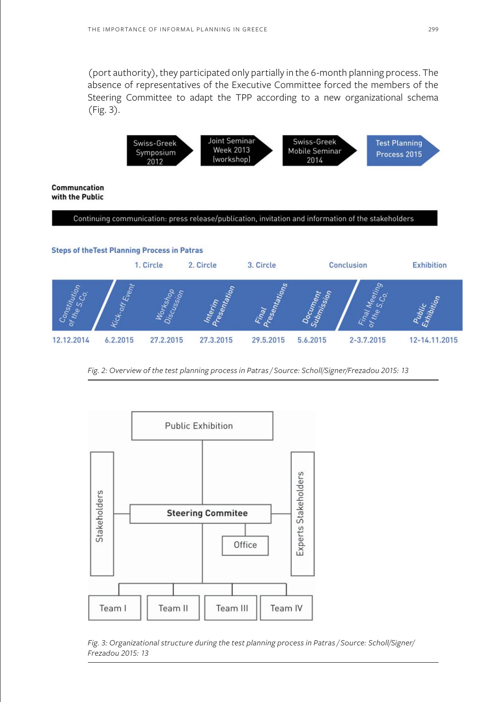(port authority), they participated only partially in the 6-month planning process. The absence of representatives of the Executive Committee forced the members of the Steering Committee to adapt the TPP according to a new organizational schema (Fig. 3).



**Communcation** with the Public

#### Continuing communication: press release/publication, invitation and information of the stakeholders

#### **Steps of the Test Planning Process in Patras**



*Fig. 2: Overview of the test planning process in Patras / Source: Scholl/Signer/Frezadou 2015: 13*



*Fig. 3: Organizational structure during the test planning process in Patras / Source: Scholl/Signer/ Frezadou 2015: 13*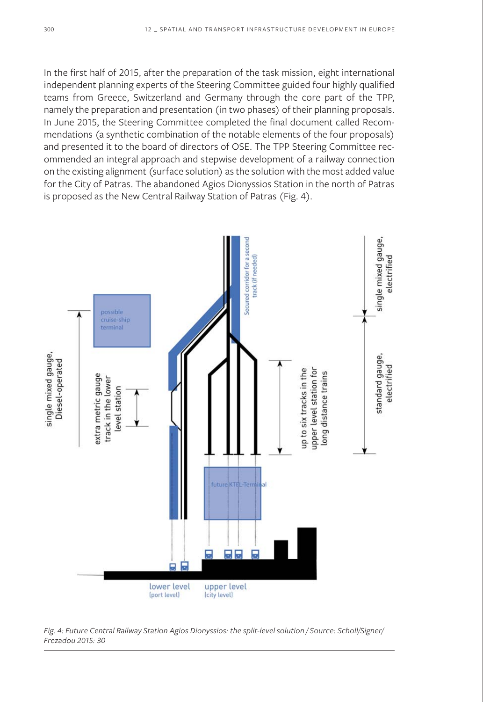In the first half of 2015, after the preparation of the task mission, eight international independent planning experts of the Steering Committee guided four highly qualified teams from Greece, Switzerland and Germany through the core part of the TPP, namely the preparation and presentation (in two phases) of their planning proposals. In June 2015, the Steering Committee completed the final document called Recommendations (a synthetic combination of the notable elements of the four proposals) and presented it to the board of directors of OSE. The TPP Steering Committee recommended an integral approach and stepwise development of a railway connection on the existing alignment (surface solution) as the solution with the most added value for the City of Patras. The abandoned Agios Dionyssios Station in the north of Patras is proposed as the New Central Railway Station of Patras (Fig. 4).



*Fig. 4: Future Central Railway Station Agios Dionyssios: the split-level solution / Source: Scholl/Signer/ Frezadou 2015: 30*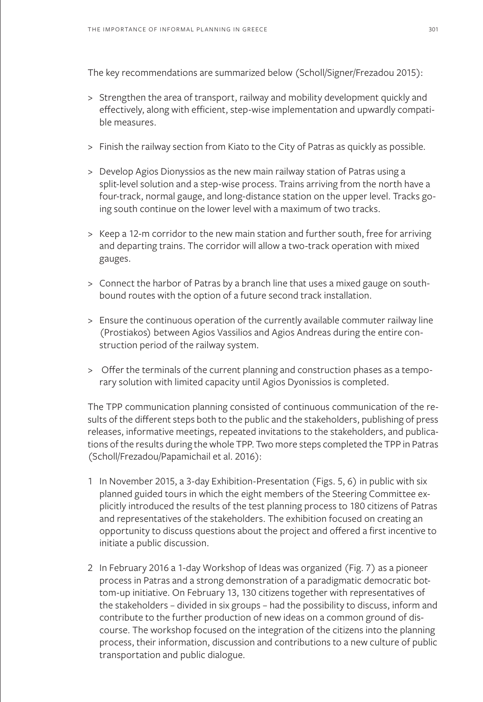The key recommendations are summarized below (Scholl/Signer/Frezadou 2015):

- > Strengthen the area of transport, railway and mobility development quickly and effectively, along with efficient, step-wise implementation and upwardly compatible measures.
- > Finish the railway section from Kiato to the City of Patras as quickly as possible.
- > Develop Agios Dionyssios as the new main railway station of Patras using a split-level solution and a step-wise process. Trains arriving from the north have a four-track, normal gauge, and long-distance station on the upper level. Tracks going south continue on the lower level with a maximum of two tracks.
- > Keep a 12-m corridor to the new main station and further south, free for arriving and departing trains. The corridor will allow a two-track operation with mixed gauges.
- > Connect the harbor of Patras by a branch line that uses a mixed gauge on southbound routes with the option of a future second track installation.
- > Ensure the continuous operation of the currently available commuter railway line (Prostiakos) between Agios Vassilios and Agios Andreas during the entire construction period of the railway system.
- > Offer the terminals of the current planning and construction phases as a temporary solution with limited capacity until Agios Dyonissios is completed.

The TPP communication planning consisted of continuous communication of the results of the different steps both to the public and the stakeholders, publishing of press releases, informative meetings, repeated invitations to the stakeholders, and publications of the results during the whole TPP. Two more steps completed the TPP in Patras (Scholl/Frezadou/Papamichail et al. 2016):

- 1 In November 2015, a 3-day Exhibition-Presentation (Figs. 5, 6) in public with six planned guided tours in which the eight members of the Steering Committee explicitly introduced the results of the test planning process to 180 citizens of Patras and representatives of the stakeholders. The exhibition focused on creating an opportunity to discuss questions about the project and offered a first incentive to initiate a public discussion.
- 2 In February 2016 a 1-day Workshop of Ideas was organized (Fig. 7) as a pioneer process in Patras and a strong demonstration of a paradigmatic democratic bottom-up initiative. On February 13, 130 citizens together with representatives of the stakeholders – divided in six groups – had the possibility to discuss, inform and contribute to the further production of new ideas on a common ground of discourse. The workshop focused on the integration of the citizens into the planning process, their information, discussion and contributions to a new culture of public transportation and public dialogue.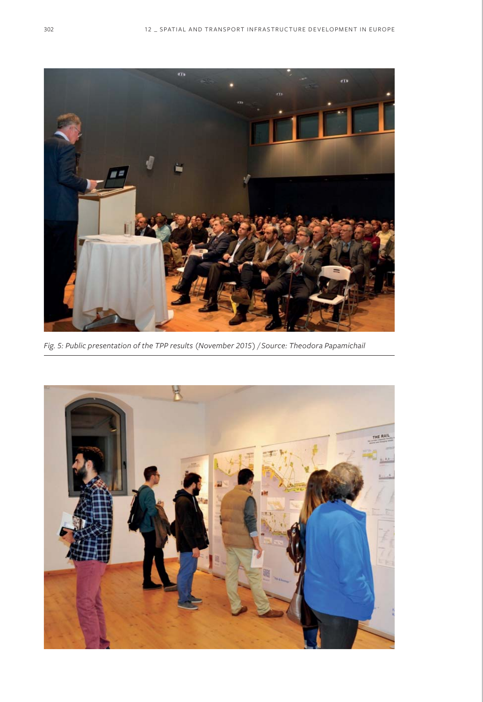

*Fig. 5: Public presentation of the TPP results (November 2015) / Source: Theodora Papamichail*

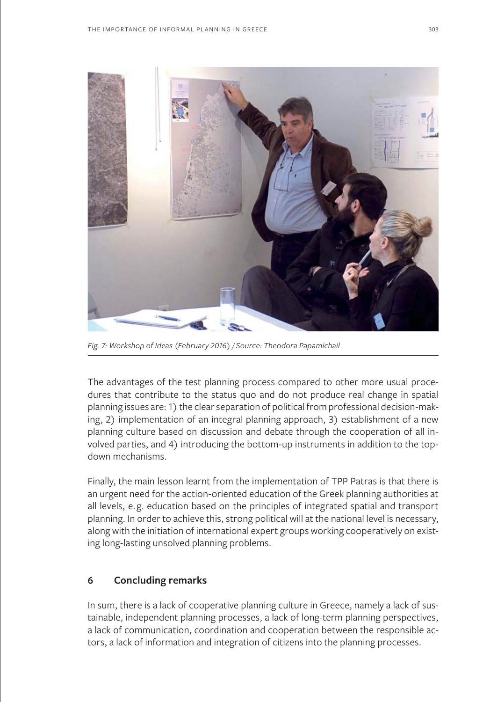

*Fig. 7: Workshop of Ideas (February 2016) / Source: Theodora Papamichail*

The advantages of the test planning process compared to other more usual procedures that contribute to the status quo and do not produce real change in spatial planning issues are: 1) the clear separation of political from professional decision-making, 2) implementation of an integral planning approach, 3) establishment of a new planning culture based on discussion and debate through the cooperation of all involved parties, and 4) introducing the bottom-up instruments in addition to the topdown mechanisms.

Finally, the main lesson learnt from the implementation of TPP Patras is that there is an urgent need for the action-oriented education of the Greek planning authorities at all levels, e.g. education based on the principles of integrated spatial and transport planning. In order to achieve this, strong political will at the national level is necessary, along with the initiation of international expert groups working cooperatively on existing long-lasting unsolved planning problems.

# **6 Concluding remarks**

In sum, there is a lack of cooperative planning culture in Greece, namely a lack of sustainable, independent planning processes, a lack of long-term planning perspectives, a lack of communication, coordination and cooperation between the responsible actors, a lack of information and integration of citizens into the planning processes.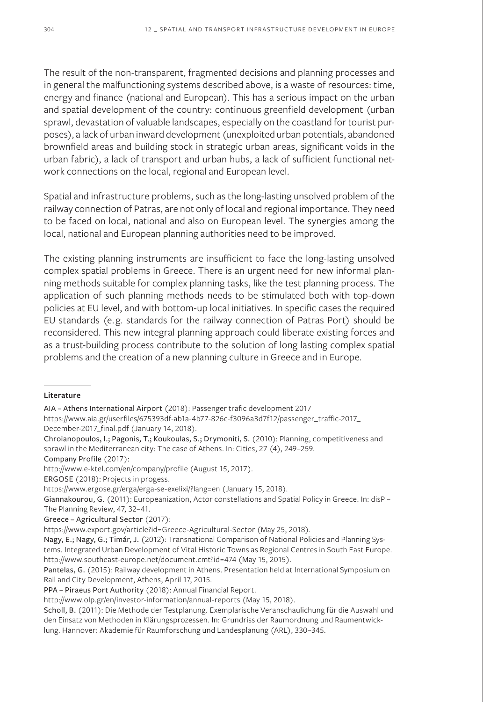The result of the non-transparent, fragmented decisions and planning processes and in general the malfunctioning systems described above, is a waste of resources: time, energy and finance (national and European). This has a serious impact on the urban and spatial development of the country: continuous greenfield development (urban sprawl, devastation of valuable landscapes, especially on the coastland for tourist purposes), a lack of urban inward development (unexploited urban potentials, abandoned brownfield areas and building stock in strategic urban areas, significant voids in the urban fabric), a lack of transport and urban hubs, a lack of sufficient functional network connections on the local, regional and European level.

Spatial and infrastructure problems, such as the long-lasting unsolved problem of the railway connection of Patras, are not only of local and regional importance. They need to be faced on local, national and also on European level. The synergies among the local, national and European planning authorities need to be improved.

The existing planning instruments are insufficient to face the long-lasting unsolved complex spatial problems in Greece. There is an urgent need for new informal planning methods suitable for complex planning tasks, like the test planning process. The application of such planning methods needs to be stimulated both with top-down policies at EU level, and with bottom-up local initiatives. In specific cases the required EU standards (e.g. standards for the railway connection of Patras Port) should be reconsidered. This new integral planning approach could liberate existing forces and as a trust-building process contribute to the solution of long lasting complex spatial problems and the creation of a new planning culture in Greece and in Europe.

#### **Literature**

- https://www.aia.gr/userfiles/675393df-ab1a-4b77-826c-f3096a3d7f12/passenger\_traffic-2017\_ December-2017\_final.pdf (January 14, 2018).
- Chroianopoulos, I.; Pagonis, T.; Koukoulas, S.; Drymoniti, S. (2010): Planning, competitiveness and sprawl in the Mediterranean city: The case of Athens. In: Cities, 27 (4), 249–259.

Company Profile (2017):

ERGOSE (2018): Projects in progess.

PPA – Piraeus Port Authority (2018): Annual Financial Report.

http://www.olp.gr/en/investor-information/annual-reports (May 15, 2018).

AIA – Athens International Airport (2018): Passenger trafic development 2017

http://www.e-ktel.com/en/company/profile (August 15, 2017).

https://www.ergose.gr/erga/erga-se-exelixi/?lang=en (January 15, 2018).

Giannakourou, G. (2011): Europeanization, Actor constellations and Spatial Policy in Greece. In: disP – The Planning Review, 47, 32–41.

Greece – Agricultural Sector (2017):

https://www.export.gov/article?id=Greece-Agricultural-Sector (May 25, 2018).

Nagy, E.; Nagy, G.; Timár, J. (2012): Transnational Comparison of National Policies and Planning Systems. Integrated Urban Development of Vital Historic Towns as Regional Centres in South East Europe. http://www.southeast-europe.net/document.cmt?id=474 (May 15, 2015).

Pantelas, G. (2015): Railway development in Athens. Presentation held at International Symposium on Rail and City Development, Athens, April 17, 2015.

Scholl, B. (2011): Die Methode der Testplanung. Exemplarische Veranschaulichung für die Auswahl und den Einsatz von Methoden in Klärungsprozessen. In: Grundriss der Raumordnung und Raumentwicklung. Hannover: Akademie für Raumforschung und Landesplanung (ARL), 330–345.